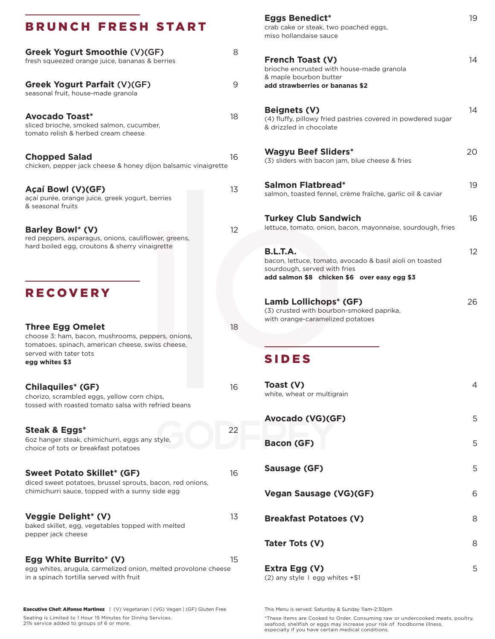#### BRUNCH FRESH START

| Greek Yogurt Smoothie (V)(GF)<br>fresh squeezed orange juice, bananas & berries                                                                                               | 8  |
|-------------------------------------------------------------------------------------------------------------------------------------------------------------------------------|----|
| Greek Yogurt Parfait (V)(GF)<br>seasonal fruit, house-made granola                                                                                                            | 9  |
| <b>Avocado Toast*</b><br>sliced brioche, smoked salmon, cucumber,<br>tomato relish & herbed cream cheese                                                                      | 18 |
| <b>Chopped Salad</b><br>chicken, pepper jack cheese & honey dijon balsamic vinaigrette                                                                                        | 16 |
| Açaí Bowl (V)(GF)<br>açaí purée, orange juice, greek yogurt, berries<br>& seasonal fruits                                                                                     | 13 |
| <b>Barley Bowl* (V)</b><br>red peppers, asparagus, onions, cauliflower, greens,<br>hard boiled egg, croutons & sherry vinaigrette                                             | 12 |
| <b>RECOVERY</b>                                                                                                                                                               |    |
| <b>Three Egg Omelet</b><br>choose 3: ham, bacon, mushrooms, peppers, onions,<br>tomatoes, spinach, american cheese, swiss cheese,<br>served with tater tots<br>egg whites \$3 | 18 |
| <b>Chilaquiles* (GF)</b><br>chorizo, scrambled eggs, yellow corn chips,<br>tossed with roasted tomato salsa with refried beans                                                | 16 |
| Steak & Eggs*<br>6oz hanger steak, chimichurri, eggs any style,<br>choice of tots or breakfast potatoes                                                                       | 22 |
| <b>Sweet Potato Skillet* (GF)</b><br>diced sweet potatoes, brussel sprouts, bacon, red onions,<br>chimichurri sauce, topped with a sunny side egg                             | 16 |
| <b>Veggie Delight* (V)</b><br>baked skillet, egg, vegetables topped with melted<br>pepper jack cheese                                                                         | 13 |
| Egg White Burrito* (V)<br>egg whites, arugula, carmelized onion, melted provolone cheese<br>in a spinach tortilla served with fruit                                           | 15 |

# **Eggs Benedict\*** 19 crab cake or steak, two poached eggs, miso hollandaise sauce **French Toast (V)** 14 brioche encrusted with house-made granola & maple bourbon butter **add strawberries or bananas \$2 Beignets (V)** 14 (4) fluffy, pillowy fried pastries covered in powdered sugar & drizzled in chocolate **Wagyu Beef Sliders\*** 20 (3) sliders with bacon jam, blue cheese & fries **Salmon Flatbread\*** 19 salmon, toasted fennel, crème fraîche, garlic oil & caviar **Turkey Club Sandwich** 16 lettuce, tomato, onion, bacon, mayonnaise, sourdough, fries **B.L.T.A.** 12 bacon, lettuce, tomato, avocado & basil aioli on toasted sourdough, served with fries **add salmon \$8 chicken \$6 over easy egg \$3 Lamb Lollichops\* (GF)** 26 (3) crusted with bourbon-smoked paprika, with orange-caramelized potatoes SIDES **Toast (V)** 4 white, wheat or multigrain **Avocado (VG)(GF)** 5 **Bacon (GF)** 5 **Sausage (GF)** 5 **Vegan Sausage (VG)(GF)** 6 **Breakfast Potatoes (V)** 8

**Tater Tots (V)** 8

**Extra Egg (V)** 5 (2) any style I egg whites +\$1

Executive Chef: Alfonso Martinez | (V) Vegetarian | (VG) Vegan | (GF) Gluten Free Seating is Limited to 1 Hour 15 Minutes for Dining Services. 21% service added to groups of 6 or more.

This Menu is served: Saturday & Sunday 11am-2:30pm

\*These Items are Cooked to Order. Consuming raw or undercooked meats, poultry, seafood, shellfish or eggs may increase your risk of foodborne illness, especially if you have certain medical conditions.